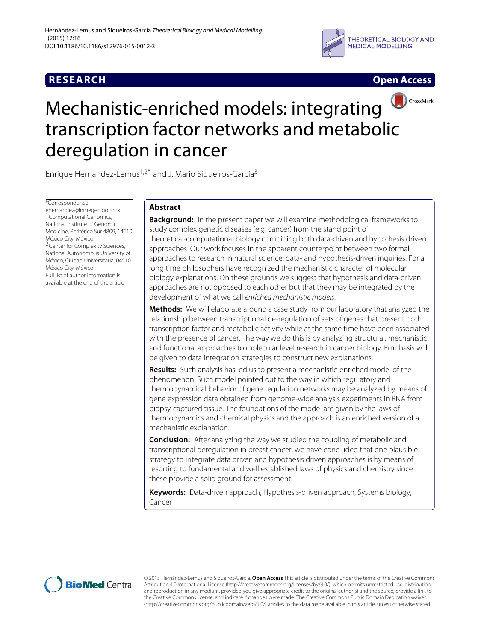





transcription factor networks and metabolic deregulation in cancer

Enrique Hernández-Lemus<sup>1,2\*</sup> and J. Mario Sigueiros-García<sup>3</sup>

\*Correspondence: [ehernandez@inmegen.gob.mx](mailto: ehernandez@inmegen.gob.mx) <sup>1</sup> Computational Genomics, National Institute of Genomic Medicine, Periférico Sur 4809, 14610 México City, México 2Center for Complexity Sciences, National Autonomous University of México, Ciudad Universitaria, 04510 México City, México Full list of author information is available at the end of the article

# **Abstract**

**Background:** In the present paper we will examine methodological frameworks to study complex genetic diseases (e.g. cancer) from the stand point of theoretical-computational biology combining both data-driven and hypothesis driven approaches. Our work focuses in the apparent counterpoint between two formal approaches to research in natural science: data- and hypothesis-driven inquiries. For a long time philosophers have recognized the mechanistic character of molecular biology explanations. On these grounds we suggest that hypothesis and data-driven approaches are not opposed to each other but that they may be integrated by the development of what we call enriched mechanistic models.

**Methods:** We will elaborate around a case study from our laboratory that analyzed the relationship between transcriptional de-regulation of sets of genes that present both transcription factor and metabolic activity while at the same time have been associated with the presence of cancer. The way we do this is by analyzing structural, mechanistic and functional approaches to molecular level research in cancer biology. Emphasis will be given to data integration strategies to construct new explanations.

**Results:** Such analysis has led us to present a mechanistic-enriched model of the phenomenon. Such model pointed out to the way in which regulatory and thermodynamical behavior of gene regulation networks may be analyzed by means of gene expression data obtained from genome-wide analysis experiments in RNA from biopsy-captured tissue. The foundations of the model are given by the laws of thermodynamics and chemical physics and the approach is an enriched version of a mechanistic explanation.

**Conclusion:** After analyzing the way we studied the coupling of metabolic and transcriptional deregulation in breast cancer, we have concluded that one plausible strategy to integrate data driven and hypothesis driven approaches is by means of resorting to fundamental and well established laws of physics and chemistry since these provide a solid ground for assessment.

**Keywords:** Data-driven approach, Hypothesis-driven approach, Systems biology, Cancer



© 2015 Hernández-Lemus and Siqueiros-García. **Open Access** This article is distributed under the terms of the Creative Commons Attribution 4.0 International License [\(http://creativecommons.org/licenses/by/4.0/\)](http://creativecommons.org/licenses/by/4.0/), which permits unrestricted use, distribution, and reproduction in any medium, provided you give appropriate credit to the original author(s) and the source, provide a link to the Creative Commons license, and indicate if changes were made. The Creative Commons Public Domain Dedication waiver [\(http://creativecommons.org/publicdomain/zero/1.0/\)](http://creativecommons.org/publicdomain/zero/1.0/) applies to the data made available in this article, unless otherwise stated.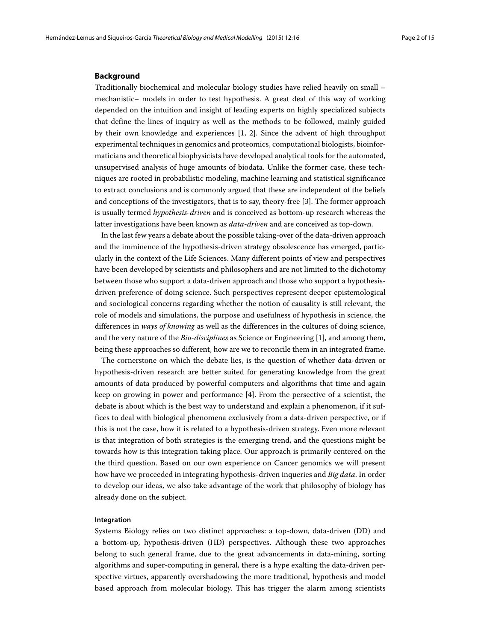#### **Background**

Traditionally biochemical and molecular biology studies have relied heavily on small – mechanistic– models in order to test hypothesis. A great deal of this way of working depended on the intuition and insight of leading experts on highly specialized subjects that define the lines of inquiry as well as the methods to be followed, mainly guided by their own knowledge and experiences [\[1,](#page-13-0) [2\]](#page-13-1). Since the advent of high throughput experimental techniques in genomics and proteomics, computational biologists, bioinformaticians and theoretical biophysicists have developed analytical tools for the automated, unsupervised analysis of huge amounts of biodata. Unlike the former case, these techniques are rooted in probabilistic modeling, machine learning and statistical significance to extract conclusions and is commonly argued that these are independent of the beliefs and conceptions of the investigators, that is to say, theory-free [\[3\]](#page-13-2). The former approach is usually termed *hypothesis-driven* and is conceived as bottom-up research whereas the latter investigations have been known as *data-driven* and are conceived as top-down.

In the last few years a debate about the possible taking-over of the data-driven approach and the imminence of the hypothesis-driven strategy obsolescence has emerged, particularly in the context of the Life Sciences. Many different points of view and perspectives have been developed by scientists and philosophers and are not limited to the dichotomy between those who support a data-driven approach and those who support a hypothesisdriven preference of doing science. Such perspectives represent deeper epistemological and sociological concerns regarding whether the notion of causality is still relevant, the role of models and simulations, the purpose and usefulness of hypothesis in science, the differences in *ways of knowing* as well as the differences in the cultures of doing science, and the very nature of the *Bio-disciplines* as Science or Engineering [\[1\]](#page-13-0), and among them, being these approaches so different, how are we to reconcile them in an integrated frame.

The cornerstone on which the debate lies, is the question of whether data-driven or hypothesis-driven research are better suited for generating knowledge from the great amounts of data produced by powerful computers and algorithms that time and again keep on growing in power and performance [\[4\]](#page-13-3). From the persective of a scientist, the debate is about which is the best way to understand and explain a phenomenon, if it suffices to deal with biological phenomena exclusively from a data-driven perspective, or if this is not the case, how it is related to a hypothesis-driven strategy. Even more relevant is that integration of both strategies is the emerging trend, and the questions might be towards how is this integration taking place. Our approach is primarily centered on the the third question. Based on our own experience on Cancer genomics we will present how have we proceeded in integrating hypothesis-driven inqueries and *Big data*. In order to develop our ideas, we also take advantage of the work that philosophy of biology has already done on the subject.

#### **Integration**

Systems Biology relies on two distinct approaches: a top-down, data-driven (DD) and a bottom-up, hypothesis-driven (HD) perspectives. Although these two approaches belong to such general frame, due to the great advancements in data-mining, sorting algorithms and super-computing in general, there is a hype exalting the data-driven perspective virtues, apparently overshadowing the more traditional, hypothesis and model based approach from molecular biology. This has trigger the alarm among scientists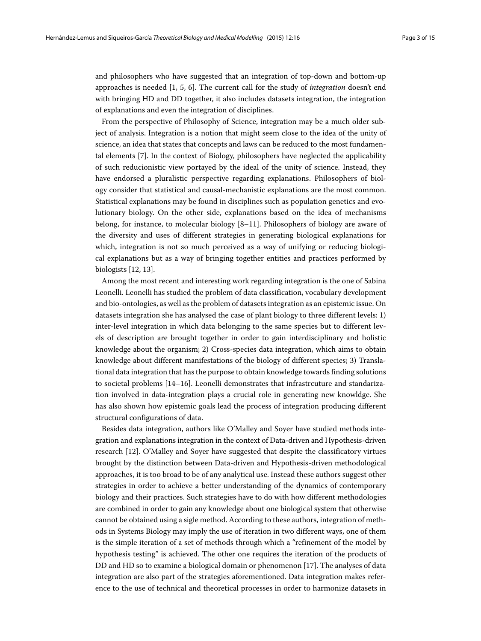and philosophers who have suggested that an integration of top-down and bottom-up approaches is needed [\[1,](#page-13-0) [5,](#page-13-4) [6\]](#page-13-5). The current call for the study of *integration* doesn't end with bringing HD and DD together, it also includes datasets integration, the integration of explanations and even the integration of disciplines.

From the perspective of Philosophy of Science, integration may be a much older subject of analysis. Integration is a notion that might seem close to the idea of the unity of science, an idea that states that concepts and laws can be reduced to the most fundamental elements [\[7\]](#page-13-6). In the context of Biology, philosophers have neglected the applicability of such reducionistic view portayed by the ideal of the unity of science. Instead, they have endorsed a pluralistic perspective regarding explanations. Philosophers of biology consider that statistical and causal-mechanistic explanations are the most common. Statistical explanations may be found in disciplines such as population genetics and evolutionary biology. On the other side, explanations based on the idea of mechanisms belong, for instance, to molecular biology [\[8](#page-13-7)[–11\]](#page-13-8). Philosophers of biology are aware of the diversity and uses of different strategies in generating biological explanations for which, integration is not so much perceived as a way of unifying or reducing biological explanations but as a way of bringing together entities and practices performed by biologists [\[12,](#page-13-9) [13\]](#page-13-10).

Among the most recent and interesting work regarding integration is the one of Sabina Leonelli. Leonelli has studied the problem of data classification, vocabulary development and bio-ontologies, as well as the problem of datasets integration as an epistemic issue. On datasets integration she has analysed the case of plant biology to three different levels: 1) inter-level integration in which data belonging to the same species but to different levels of description are brought together in order to gain interdisciplinary and holistic knowledge about the organism; 2) Cross-species data integration, which aims to obtain knowledge about different manifestations of the biology of different species; 3) Translational data integration that has the purpose to obtain knowledge towards finding solutions to societal problems [\[14](#page-13-11)[–16\]](#page-13-12). Leonelli demonstrates that infrastrcuture and standarization involved in data-integration plays a crucial role in generating new knowldge. She has also shown how epistemic goals lead the process of integration producing different structural configurations of data.

Besides data integration, authors like O'Malley and Soyer have studied methods integration and explanations integration in the context of Data-driven and Hypothesis-driven research [\[12\]](#page-13-9). O'Malley and Soyer have suggested that despite the classificatory virtues brought by the distinction between Data-driven and Hypothesis-driven methodological approaches, it is too broad to be of any analytical use. Instead these authors suggest other strategies in order to achieve a better understanding of the dynamics of contemporary biology and their practices. Such strategies have to do with how different methodologies are combined in order to gain any knowledge about one biological system that otherwise cannot be obtained using a sigle method. According to these authors, integration of methods in Systems Biology may imply the use of iteration in two different ways, one of them is the simple iteration of a set of methods through which a "refinement of the model by hypothesis testing" is achieved. The other one requires the iteration of the products of DD and HD so to examine a biological domain or phenomenon [\[17\]](#page-13-13). The analyses of data integration are also part of the strategies aforementioned. Data integration makes reference to the use of technical and theoretical processes in order to harmonize datasets in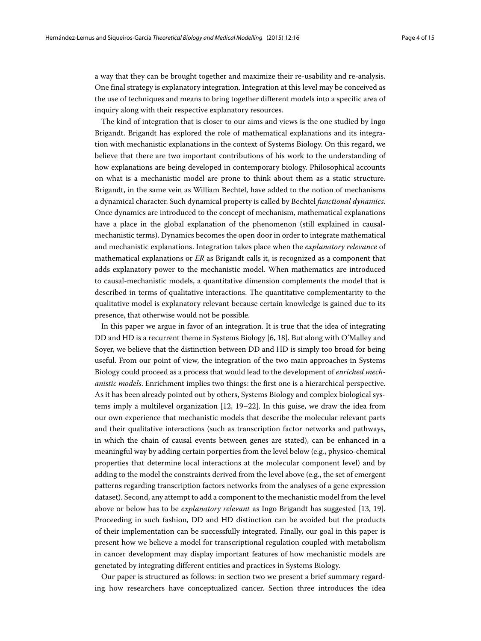a way that they can be brought together and maximize their re-usability and re-analysis. One final strategy is explanatory integration. Integration at this level may be conceived as the use of techniques and means to bring together different models into a specific area of inquiry along with their respective explanatory resources.

The kind of integration that is closer to our aims and views is the one studied by Ingo Brigandt. Brigandt has explored the role of mathematical explanations and its integration with mechanistic explanations in the context of Systems Biology. On this regard, we believe that there are two important contributions of his work to the understanding of how explanations are being developed in contemporary biology. Philosophical accounts on what is a mechanistic model are prone to think about them as a static structure. Brigandt, in the same vein as William Bechtel, have added to the notion of mechanisms a dynamical character. Such dynamical property is called by Bechtel *functional dynamics*. Once dynamics are introduced to the concept of mechanism, mathematical explanations have a place in the global explanation of the phenomenon (still explained in causalmechanistic terms). Dynamics becomes the open door in order to integrate mathematical and mechanistic explanations. Integration takes place when the *explanatory relevance* of mathematical explanations or *ER* as Brigandt calls it, is recognized as a component that adds explanatory power to the mechanistic model. When mathematics are introduced to causal-mechanistic models, a quantitative dimension complements the model that is described in terms of qualitative interactions. The quantitative complementarity to the qualitative model is explanatory relevant because certain knowledge is gained due to its presence, that otherwise would not be possible.

In this paper we argue in favor of an integration. It is true that the idea of integrating DD and HD is a recurrent theme in Systems Biology [\[6,](#page-13-5) [18\]](#page-13-14). But along with O'Malley and Soyer, we believe that the distinction between DD and HD is simply too broad for being useful. From our point of view, the integration of the two main approaches in Systems Biology could proceed as a process that would lead to the development of *enriched mechanistic models*. Enrichment implies two things: the first one is a hierarchical perspective. As it has been already pointed out by others, Systems Biology and complex biological systems imply a multilevel organization [\[12,](#page-13-9) [19](#page-13-15)[–22\]](#page-13-16). In this guise, we draw the idea from our own experience that mechanistic models that describe the molecular relevant parts and their qualitative interactions (such as transcription factor networks and pathways, in which the chain of causal events between genes are stated), can be enhanced in a meaningful way by adding certain porperties from the level below (e.g., physico-chemical properties that determine local interactions at the molecular component level) and by adding to the model the constraints derived from the level above (e.g., the set of emergent patterns regarding transcription factors networks from the analyses of a gene expression dataset). Second, any attempt to add a component to the mechanistic model from the level above or below has to be *explanatory relevant* as Ingo Brigandt has suggested [\[13,](#page-13-10) [19\]](#page-13-15). Proceeding in such fashion, DD and HD distinction can be avoided but the products of their implementation can be successfully integrated. Finally, our goal in this paper is present how we believe a model for transcriptional regulation coupled with metabolism in cancer development may display important features of how mechanistic models are genetated by integrating different entities and practices in Systems Biology.

Our paper is structured as follows: in section two we present a brief summary regarding how researchers have conceptualized cancer. Section three introduces the idea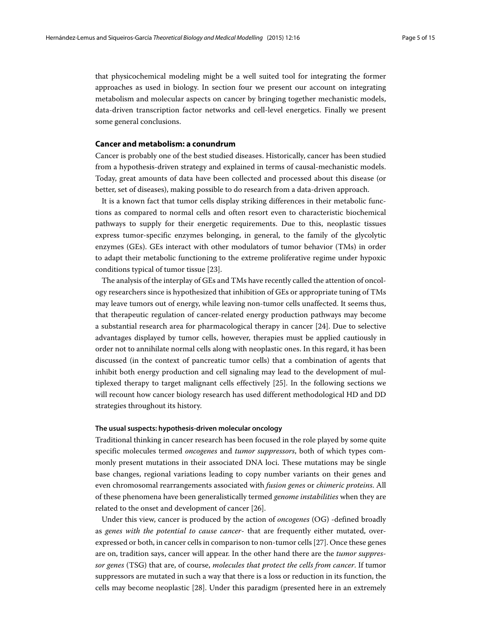that physicochemical modeling might be a well suited tool for integrating the former approaches as used in biology. In section four we present our account on integrating metabolism and molecular aspects on cancer by bringing together mechanistic models, data-driven transcription factor networks and cell-level energetics. Finally we present some general conclusions.

# **Cancer and metabolism: a conundrum**

Cancer is probably one of the best studied diseases. Historically, cancer has been studied from a hypothesis-driven strategy and explained in terms of causal-mechanistic models. Today, great amounts of data have been collected and processed about this disease (or better, set of diseases), making possible to do research from a data-driven approach.

It is a known fact that tumor cells display striking differences in their metabolic functions as compared to normal cells and often resort even to characteristic biochemical pathways to supply for their energetic requirements. Due to this, neoplastic tissues express tumor-specific enzymes belonging, in general, to the family of the glycolytic enzymes (GEs). GEs interact with other modulators of tumor behavior (TMs) in order to adapt their metabolic functioning to the extreme proliferative regime under hypoxic conditions typical of tumor tissue [\[23\]](#page-13-17).

The analysis of the interplay of GEs and TMs have recently called the attention of oncology researchers since is hypothesized that inhibition of GEs or appropriate tuning of TMs may leave tumors out of energy, while leaving non-tumor cells unaffected. It seems thus, that therapeutic regulation of cancer-related energy production pathways may become a substantial research area for pharmacological therapy in cancer [\[24\]](#page-13-18). Due to selective advantages displayed by tumor cells, however, therapies must be applied cautiously in order not to annihilate normal cells along with neoplastic ones. In this regard, it has been discussed (in the context of pancreatic tumor cells) that a combination of agents that inhibit both energy production and cell signaling may lead to the development of multiplexed therapy to target malignant cells effectively [\[25\]](#page-13-19). In the following sections we will recount how cancer biology research has used different methodological HD and DD strategies throughout its history.

#### **The usual suspects: hypothesis-driven molecular oncology**

Traditional thinking in cancer research has been focused in the role played by some quite specific molecules termed *oncogenes* and *tumor suppressors*, both of which types commonly present mutations in their associated DNA loci. These mutations may be single base changes, regional variations leading to copy number variants on their genes and even chromosomal rearrangements associated with *fusion genes* or *chimeric proteins*. All of these phenomena have been generalistically termed *genome instabilities* when they are related to the onset and development of cancer [\[26\]](#page-13-20).

Under this view, cancer is produced by the action of *oncogenes* (OG) -defined broadly as *genes with the potential to cause cancer*- that are frequently either mutated, overexpressed or both, in cancer cells in comparison to non-tumor cells [\[27\]](#page-13-21). Once these genes are on, tradition says, cancer will appear. In the other hand there are the *tumor suppressor genes* (TSG) that are, of course, *molecules that protect the cells from cancer*. If tumor suppressors are mutated in such a way that there is a loss or reduction in its function, the cells may become neoplastic [\[28\]](#page-13-22). Under this paradigm (presented here in an extremely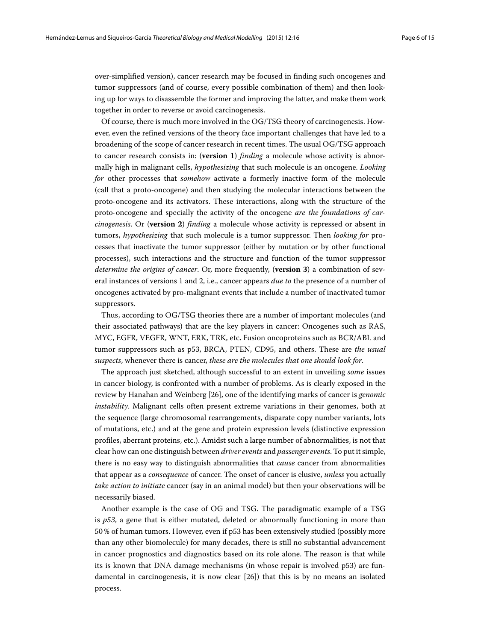over-simplified version), cancer research may be focused in finding such oncogenes and tumor suppressors (and of course, every possible combination of them) and then looking up for ways to disassemble the former and improving the latter, and make them work together in order to reverse or avoid carcinogenesis.

Of course, there is much more involved in the OG/TSG theory of carcinogenesis. However, even the refined versions of the theory face important challenges that have led to a broadening of the scope of cancer research in recent times. The usual OG/TSG approach to cancer research consists in: (**version 1**) *finding* a molecule whose activity is abnormally high in malignant cells, *hypothesizing* that such molecule is an oncogene. *Looking for* other processes that *somehow* activate a formerly inactive form of the molecule (call that a proto-oncogene) and then studying the molecular interactions between the proto-oncogene and its activators. These interactions, along with the structure of the proto-oncogene and specially the activity of the oncogene *are the foundations of carcinogenesis*. Or (**version 2**) *finding* a molecule whose activity is repressed or absent in tumors, *hypothesizing* that such molecule is a tumor suppressor. Then *looking for* processes that inactivate the tumor suppressor (either by mutation or by other functional processes), such interactions and the structure and function of the tumor suppressor *determine the origins of cancer*. Or, more frequently, (**version 3**) a combination of several instances of versions 1 and 2, i.e., cancer appears *due to* the presence of a number of oncogenes activated by pro-malignant events that include a number of inactivated tumor suppressors.

Thus, according to OG/TSG theories there are a number of important molecules (and their associated pathways) that are the key players in cancer: Oncogenes such as RAS, MYC, EGFR, VEGFR, WNT, ERK, TRK, etc. Fusion oncoproteins such as BCR/ABL and tumor suppressors such as p53, BRCA, PTEN, CD95, and others. These are *the usual suspects*, whenever there is cancer, *these are the molecules that one should look for*.

The approach just sketched, although successful to an extent in unveiling *some* issues in cancer biology, is confronted with a number of problems. As is clearly exposed in the review by Hanahan and Weinberg [\[26\]](#page-13-20), one of the identifying marks of cancer is *genomic instability*. Malignant cells often present extreme variations in their genomes, both at the sequence (large chromosomal rearrangements, disparate copy number variants, lots of mutations, etc.) and at the gene and protein expression levels (distinctive expression profiles, aberrant proteins, etc.). Amidst such a large number of abnormalities, is not that clear how can one distinguish between *driver events* and *passenger events*. To put it simple, there is no easy way to distinguish abnormalities that *cause* cancer from abnormalities that appear as a *consequence* of cancer. The onset of cancer is elusive, *unless* you actually *take action to initiate* cancer (say in an animal model) but then your observations will be necessarily biased.

Another example is the case of OG and TSG. The paradigmatic example of a TSG is *p53*, a gene that is either mutated, deleted or abnormally functioning in more than 50 % of human tumors. However, even if p53 has been extensively studied (possibly more than any other biomolecule) for many decades, there is still no substantial advancement in cancer prognostics and diagnostics based on its role alone. The reason is that while its is known that DNA damage mechanisms (in whose repair is involved p53) are fundamental in carcinogenesis, it is now clear [\[26\]](#page-13-20)) that this is by no means an isolated process.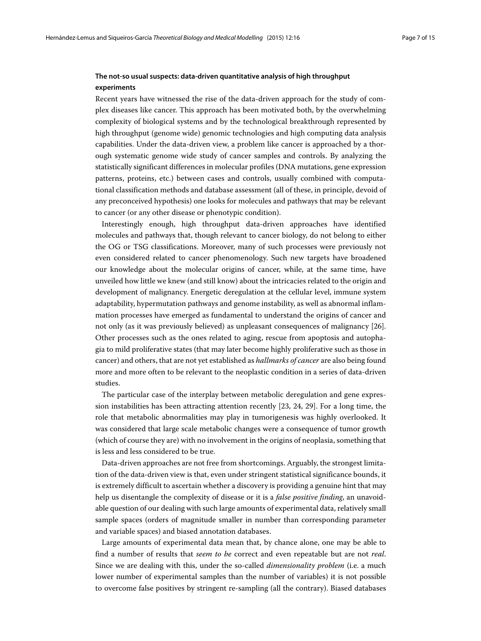# **The not-so usual suspects: data-driven quantitative analysis of high throughput experiments**

Recent years have witnessed the rise of the data-driven approach for the study of complex diseases like cancer. This approach has been motivated both, by the overwhelming complexity of biological systems and by the technological breakthrough represented by high throughput (genome wide) genomic technologies and high computing data analysis capabilities. Under the data-driven view, a problem like cancer is approached by a thorough systematic genome wide study of cancer samples and controls. By analyzing the statistically significant differences in molecular profiles (DNA mutations, gene expression patterns, proteins, etc.) between cases and controls, usually combined with computational classification methods and database assessment (all of these, in principle, devoid of any preconceived hypothesis) one looks for molecules and pathways that may be relevant to cancer (or any other disease or phenotypic condition).

Interestingly enough, high throughput data-driven approaches have identified molecules and pathways that, though relevant to cancer biology, do not belong to either the OG or TSG classifications. Moreover, many of such processes were previously not even considered related to cancer phenomenology. Such new targets have broadened our knowledge about the molecular origins of cancer, while, at the same time, have unveiled how little we knew (and still know) about the intricacies related to the origin and development of malignancy. Energetic deregulation at the cellular level, immune system adaptability, hypermutation pathways and genome instability, as well as abnormal inflammation processes have emerged as fundamental to understand the origins of cancer and not only (as it was previously believed) as unpleasant consequences of malignancy [\[26\]](#page-13-20). Other processes such as the ones related to aging, rescue from apoptosis and autophagia to mild proliferative states (that may later become highly proliferative such as those in cancer) and others, that are not yet established as *hallmarks of cancer* are also being found more and more often to be relevant to the neoplastic condition in a series of data-driven studies.

The particular case of the interplay between metabolic deregulation and gene expression instabilities has been attracting attention recently [\[23,](#page-13-17) [24,](#page-13-18) [29\]](#page-14-0). For a long time, the role that metabolic abnormalities may play in tumorigenesis was highly overlooked. It was considered that large scale metabolic changes were a consequence of tumor growth (which of course they are) with no involvement in the origins of neoplasia, something that is less and less considered to be true.

Data-driven approaches are not free from shortcomings. Arguably, the strongest limitation of the data-driven view is that, even under stringent statistical significance bounds, it is extremely difficult to ascertain whether a discovery is providing a genuine hint that may help us disentangle the complexity of disease or it is a *false positive finding*, an unavoidable question of our dealing with such large amounts of experimental data, relatively small sample spaces (orders of magnitude smaller in number than corresponding parameter and variable spaces) and biased annotation databases.

Large amounts of experimental data mean that, by chance alone, one may be able to find a number of results that *seem to be* correct and even repeatable but are not *real*. Since we are dealing with this, under the so-called *dimensionality problem* (i.e. a much lower number of experimental samples than the number of variables) it is not possible to overcome false positives by stringent re-sampling (all the contrary). Biased databases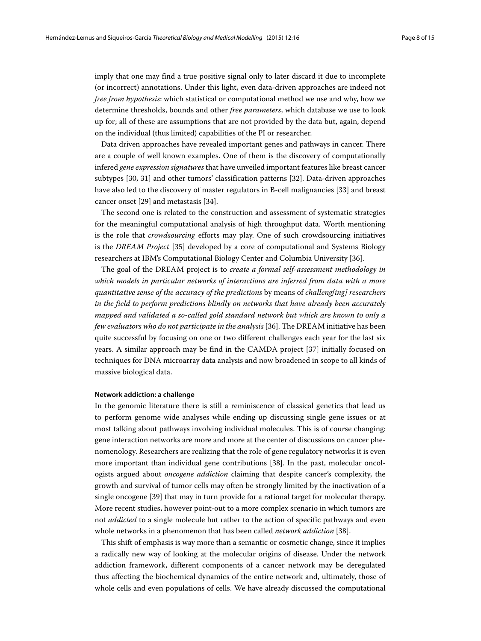imply that one may find a true positive signal only to later discard it due to incomplete (or incorrect) annotations. Under this light, even data-driven approaches are indeed not *free from hypothesis*: which statistical or computational method we use and why, how we determine thresholds, bounds and other *free parameters*, which database we use to look up for; all of these are assumptions that are not provided by the data but, again, depend on the individual (thus limited) capabilities of the PI or researcher.

Data driven approaches have revealed important genes and pathways in cancer. There are a couple of well known examples. One of them is the discovery of computationally infered *gene expression signatures* that have unveiled important features like breast cancer subtypes [\[30,](#page-14-1) [31\]](#page-14-2) and other tumors' classification patterns [\[32\]](#page-14-3). Data-driven approaches have also led to the discovery of master regulators in B-cell malignancies [\[33\]](#page-14-4) and breast cancer onset [\[29\]](#page-14-0) and metastasis [\[34\]](#page-14-5).

The second one is related to the construction and assessment of systematic strategies for the meaningful computational analysis of high throughput data. Worth mentioning is the role that *crowdsourcing* efforts may play. One of such crowdsourcing initiatives is the *DREAM Project* [\[35\]](#page-14-6) developed by a core of computational and Systems Biology researchers at IBM's Computational Biology Center and Columbia University [\[36\]](#page-14-7).

The goal of the DREAM project is to *create a formal self-assessment methodology in which models in particular networks of interactions are inferred from data with a more quantitative sense of the accuracy of the predictions* by means of *challeng[ing] researchers in the field to perform predictions blindly on networks that have already been accurately mapped and validated a so-called gold standard network but which are known to only a few evaluators who do not participate in the analysis* [\[36\]](#page-14-7). The DREAM initiative has been quite successful by focusing on one or two different challenges each year for the last six years. A similar approach may be find in the CAMDA project [\[37\]](#page-14-8) initially focused on techniques for DNA microarray data analysis and now broadened in scope to all kinds of massive biological data.

#### **Network addiction: a challenge**

In the genomic literature there is still a reminiscence of classical genetics that lead us to perform genome wide analyses while ending up discussing single gene issues or at most talking about pathways involving individual molecules. This is of course changing: gene interaction networks are more and more at the center of discussions on cancer phenomenology. Researchers are realizing that the role of gene regulatory networks it is even more important than individual gene contributions [\[38\]](#page-14-9). In the past, molecular oncologists argued about *oncogene addiction* claiming that despite cancer's complexity, the growth and survival of tumor cells may often be strongly limited by the inactivation of a single oncogene [\[39\]](#page-14-10) that may in turn provide for a rational target for molecular therapy. More recent studies, however point-out to a more complex scenario in which tumors are not *addicted* to a single molecule but rather to the action of specific pathways and even whole networks in a phenomenon that has been called *network addiction* [\[38\]](#page-14-9).

This shift of emphasis is way more than a semantic or cosmetic change, since it implies a radically new way of looking at the molecular origins of disease. Under the network addiction framework, different components of a cancer network may be deregulated thus affecting the biochemical dynamics of the entire network and, ultimately, those of whole cells and even populations of cells. We have already discussed the computational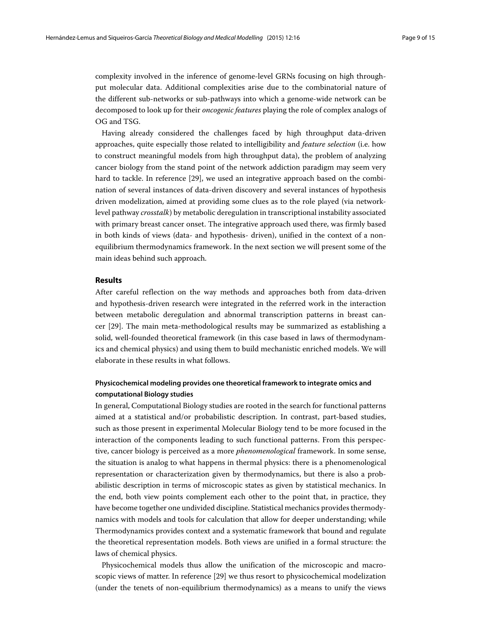complexity involved in the inference of genome-level GRNs focusing on high throughput molecular data. Additional complexities arise due to the combinatorial nature of the different sub-networks or sub-pathways into which a genome-wide network can be decomposed to look up for their *oncogenic features* playing the role of complex analogs of OG and TSG.

Having already considered the challenges faced by high throughput data-driven approaches, quite especially those related to intelligibility and *feature selection* (i.e. how to construct meaningful models from high throughput data), the problem of analyzing cancer biology from the stand point of the network addiction paradigm may seem very hard to tackle. In reference [\[29\]](#page-14-0), we used an integrative approach based on the combination of several instances of data-driven discovery and several instances of hypothesis driven modelization, aimed at providing some clues as to the role played (via networklevel pathway *crosstalk*) by metabolic deregulation in transcriptional instability associated with primary breast cancer onset. The integrative approach used there, was firmly based in both kinds of views (data- and hypothesis- driven), unified in the context of a nonequilibrium thermodynamics framework. In the next section we will present some of the main ideas behind such approach.

## **Results**

After careful reflection on the way methods and approaches both from data-driven and hypothesis-driven research were integrated in the referred work in the interaction between metabolic deregulation and abnormal transcription patterns in breast cancer [\[29\]](#page-14-0). The main meta-methodological results may be summarized as establishing a solid, well-founded theoretical framework (in this case based in laws of thermodynamics and chemical physics) and using them to build mechanistic enriched models. We will elaborate in these results in what follows.

# **Physicochemical modeling provides one theoretical framework to integrate omics and computational Biology studies**

In general, Computational Biology studies are rooted in the search for functional patterns aimed at a statistical and/or probabilistic description. In contrast, part-based studies, such as those present in experimental Molecular Biology tend to be more focused in the interaction of the components leading to such functional patterns. From this perspective, cancer biology is perceived as a more *phenomenological* framework. In some sense, the situation is analog to what happens in thermal physics: there is a phenomenological representation or characterization given by thermodynamics, but there is also a probabilistic description in terms of microscopic states as given by statistical mechanics. In the end, both view points complement each other to the point that, in practice, they have become together one undivided discipline. Statistical mechanics provides thermodynamics with models and tools for calculation that allow for deeper understanding; while Thermodynamics provides context and a systematic framework that bound and regulate the theoretical representation models. Both views are unified in a formal structure: the laws of chemical physics.

Physicochemical models thus allow the unification of the microscopic and macroscopic views of matter. In reference [\[29\]](#page-14-0) we thus resort to physicochemical modelization (under the tenets of non-equilibrium thermodynamics) as a means to unify the views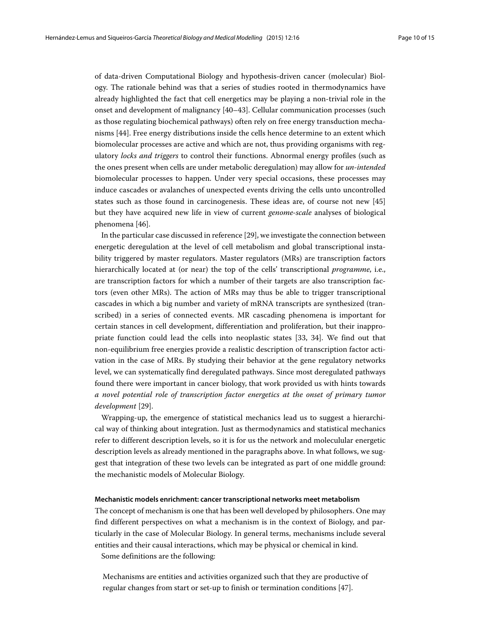of data-driven Computational Biology and hypothesis-driven cancer (molecular) Biology. The rationale behind was that a series of studies rooted in thermodynamics have already highlighted the fact that cell energetics may be playing a non-trivial role in the onset and development of malignancy [\[40](#page-14-11)[–43\]](#page-14-12). Cellular communication processes (such as those regulating biochemical pathways) often rely on free energy transduction mechanisms [\[44\]](#page-14-13). Free energy distributions inside the cells hence determine to an extent which biomolecular processes are active and which are not, thus providing organisms with regulatory *locks and triggers* to control their functions. Abnormal energy profiles (such as the ones present when cells are under metabolic deregulation) may allow for *un-intended* biomolecular processes to happen. Under very special occasions, these processes may induce cascades or avalanches of unexpected events driving the cells unto uncontrolled states such as those found in carcinogenesis. These ideas are, of course not new [\[45\]](#page-14-14) but they have acquired new life in view of current *genome-scale* analyses of biological phenomena [\[46\]](#page-14-15).

In the particular case discussed in reference [\[29\]](#page-14-0), we investigate the connection between energetic deregulation at the level of cell metabolism and global transcriptional instability triggered by master regulators. Master regulators (MRs) are transcription factors hierarchically located at (or near) the top of the cells' transcriptional *programme*, i.e., are transcription factors for which a number of their targets are also transcription factors (even other MRs). The action of MRs may thus be able to trigger transcriptional cascades in which a big number and variety of mRNA transcripts are synthesized (transcribed) in a series of connected events. MR cascading phenomena is important for certain stances in cell development, differentiation and proliferation, but their inappropriate function could lead the cells into neoplastic states [\[33,](#page-14-4) [34\]](#page-14-5). We find out that non-equilibrium free energies provide a realistic description of transcription factor activation in the case of MRs. By studying their behavior at the gene regulatory networks level, we can systematically find deregulated pathways. Since most deregulated pathways found there were important in cancer biology, that work provided us with hints towards *a novel potential role of transcription factor energetics at the onset of primary tumor development* [\[29\]](#page-14-0).

Wrapping-up, the emergence of statistical mechanics lead us to suggest a hierarchical way of thinking about integration. Just as thermodynamics and statistical mechanics refer to different description levels, so it is for us the network and moleculular energetic description levels as already mentioned in the paragraphs above. In what follows, we suggest that integration of these two levels can be integrated as part of one middle ground: the mechanistic models of Molecular Biology.

## **Mechanistic models enrichment: cancer transcriptional networks meet metabolism**

The concept of mechanism is one that has been well developed by philosophers. One may find different perspectives on what a mechanism is in the context of Biology, and particularly in the case of Molecular Biology. In general terms, mechanisms include several entities and their causal interactions, which may be physical or chemical in kind. Some definitions are the following:

Mechanisms are entities and activities organized such that they are productive of regular changes from start or set-up to finish or termination conditions [\[47\]](#page-14-16).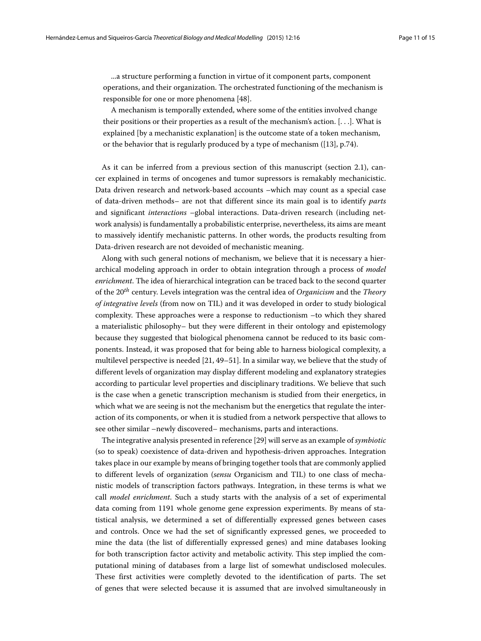...a structure performing a function in virtue of it component parts, component operations, and their organization. The orchestrated functioning of the mechanism is responsible for one or more phenomena [\[48\]](#page-14-17).

A mechanism is temporally extended, where some of the entities involved change their positions or their properties as a result of the mechanism's action. [. . .]. What is explained [by a mechanistic explanation] is the outcome state of a token mechanism, or the behavior that is regularly produced by a type of mechanism ([\[13\]](#page-13-10), p.74).

As it can be inferred from a previous section of this manuscript (section 2.1), cancer explained in terms of oncogenes and tumor supressors is remakably mechanicistic. Data driven research and network-based accounts –which may count as a special case of data-driven methods– are not that different since its main goal is to identify *parts* and significant *interactions* –global interactions. Data-driven research (including network analysis) is fundamentally a probabilistic enterprise, nevertheless, its aims are meant to massively identify mechanistic patterns. In other words, the products resulting from Data-driven research are not devoided of mechanistic meaning.

Along with such general notions of mechanism, we believe that it is necessary a hierarchical modeling approach in order to obtain integration through a process of *model enrichment*. The idea of hierarchical integration can be traced back to the second quarter of the 20*th* century. Levels integration was the central idea of *Organicism* and the *Theory of integrative levels* (from now on TIL) and it was developed in order to study biological complexity. These approaches were a response to reductionism –to which they shared a materialistic philosophy– but they were different in their ontology and epistemology because they suggested that biological phenomena cannot be reduced to its basic components. Instead, it was proposed that for being able to harness biological complexity, a multilevel perspective is needed [\[21,](#page-13-23) [49](#page-14-18)[–51\]](#page-14-19). In a similar way, we believe that the study of different levels of organization may display different modeling and explanatory strategies according to particular level properties and disciplinary traditions. We believe that such is the case when a genetic transcription mechanism is studied from their energetics, in which what we are seeing is not the mechanism but the energetics that regulate the interaction of its components, or when it is studied from a network perspective that allows to see other similar –newly discovered– mechanisms, parts and interactions.

The integrative analysis presented in reference [\[29\]](#page-14-0) will serve as an example of *symbiotic* (so to speak) coexistence of data-driven and hypothesis-driven approaches. Integration takes place in our example by means of bringing together tools that are commonly applied to different levels of organization (*sensu* Organicism and TIL) to one class of mechanistic models of transcription factors pathways. Integration, in these terms is what we call *model enrichment*. Such a study starts with the analysis of a set of experimental data coming from 1191 whole genome gene expression experiments. By means of statistical analysis, we determined a set of differentially expressed genes between cases and controls. Once we had the set of significantly expressed genes, we proceeded to mine the data (the list of differentially expressed genes) and mine databases looking for both transcription factor activity and metabolic activity. This step implied the computational mining of databases from a large list of somewhat undisclosed molecules. These first activities were completly devoted to the identification of parts. The set of genes that were selected because it is assumed that are involved simultaneously in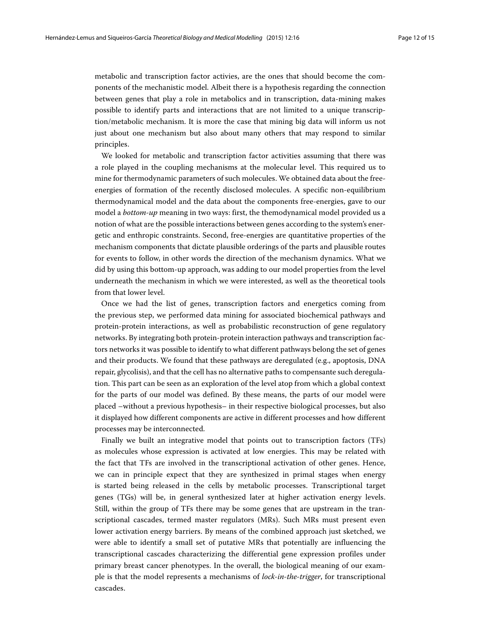metabolic and transcription factor activies, are the ones that should become the components of the mechanistic model. Albeit there is a hypothesis regarding the connection between genes that play a role in metabolics and in transcription, data-mining makes possible to identify parts and interactions that are not limited to a unique transcription/metabolic mechanism. It is more the case that mining big data will inform us not just about one mechanism but also about many others that may respond to similar principles.

We looked for metabolic and transcription factor activities assuming that there was a role played in the coupling mechanisms at the molecular level. This required us to mine for thermodynamic parameters of such molecules. We obtained data about the freeenergies of formation of the recently disclosed molecules. A specific non-equilibrium thermodynamical model and the data about the components free-energies, gave to our model a *bottom-up* meaning in two ways: first, the themodynamical model provided us a notion of what are the possible interactions between genes according to the system's energetic and enthropic constraints. Second, free-energies are quantitative properties of the mechanism components that dictate plausible orderings of the parts and plausible routes for events to follow, in other words the direction of the mechanism dynamics. What we did by using this bottom-up approach, was adding to our model properties from the level underneath the mechanism in which we were interested, as well as the theoretical tools from that lower level.

Once we had the list of genes, transcription factors and energetics coming from the previous step, we performed data mining for associated biochemical pathways and protein-protein interactions, as well as probabilistic reconstruction of gene regulatory networks. By integrating both protein-protein interaction pathways and transcription factors networks it was possible to identify to what different pathways belong the set of genes and their products. We found that these pathways are deregulated (e.g., apoptosis, DNA repair, glycolisis), and that the cell has no alternative paths to compensante such deregulation. This part can be seen as an exploration of the level atop from which a global context for the parts of our model was defined. By these means, the parts of our model were placed –without a previous hypothesis– in their respective biological processes, but also it displayed how different components are active in different processes and how different processes may be interconnected.

Finally we built an integrative model that points out to transcription factors (TFs) as molecules whose expression is activated at low energies. This may be related with the fact that TFs are involved in the transcriptional activation of other genes. Hence, we can in principle expect that they are synthesized in primal stages when energy is started being released in the cells by metabolic processes. Transcriptional target genes (TGs) will be, in general synthesized later at higher activation energy levels. Still, within the group of TFs there may be some genes that are upstream in the transcriptional cascades, termed master regulators (MRs). Such MRs must present even lower activation energy barriers. By means of the combined approach just sketched, we were able to identify a small set of putative MRs that potentially are influencing the transcriptional cascades characterizing the differential gene expression profiles under primary breast cancer phenotypes. In the overall, the biological meaning of our example is that the model represents a mechanisms of *lock-in-the-trigger*, for transcriptional cascades.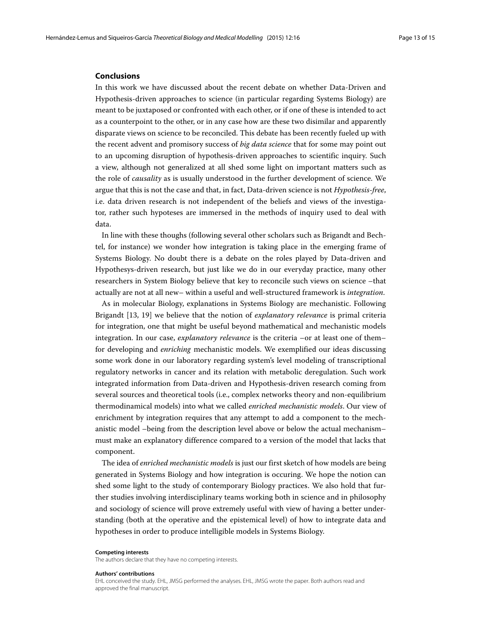#### **Conclusions**

In this work we have discussed about the recent debate on whether Data-Driven and Hypothesis-driven approaches to science (in particular regarding Systems Biology) are meant to be juxtaposed or confronted with each other, or if one of these is intended to act as a counterpoint to the other, or in any case how are these two disimilar and apparently disparate views on science to be reconciled. This debate has been recently fueled up with the recent advent and promisory success of *big data science* that for some may point out to an upcoming disruption of hypothesis-driven approaches to scientific inquiry. Such a view, although not generalized at all shed some light on important matters such as the role of *causality* as is usually understood in the further development of science. We argue that this is not the case and that, in fact, Data-driven science is not *Hypothesis-free*, i.e. data driven research is not independent of the beliefs and views of the investigator, rather such hypoteses are immersed in the methods of inquiry used to deal with data.

In line with these thoughs (following several other scholars such as Brigandt and Bechtel, for instance) we wonder how integration is taking place in the emerging frame of Systems Biology. No doubt there is a debate on the roles played by Data-driven and Hypothesys-driven research, but just like we do in our everyday practice, many other researchers in System Biology believe that key to reconcile such views on science –that actually are not at all new– within a useful and well-structured framework is *integration*.

As in molecular Biology, explanations in Systems Biology are mechanistic. Following Brigandt [\[13,](#page-13-10) [19\]](#page-13-15) we believe that the notion of *explanatory relevance* is primal criteria for integration, one that might be useful beyond mathematical and mechanistic models integration. In our case, *explanatory relevance* is the criteria –or at least one of them– for developing and *enriching* mechanistic models. We exemplified our ideas discussing some work done in our laboratory regarding system's level modeling of transcriptional regulatory networks in cancer and its relation with metabolic deregulation. Such work integrated information from Data-driven and Hypothesis-driven research coming from several sources and theoretical tools (i.e., complex networks theory and non-equilibrium thermodinamical models) into what we called *enriched mechanistic models*. Our view of enrichment by integration requires that any attempt to add a component to the mechanistic model –being from the description level above or below the actual mechanism– must make an explanatory difference compared to a version of the model that lacks that component.

The idea of *enriched mechanistic models* is just our first sketch of how models are being generated in Systems Biology and how integration is occuring. We hope the notion can shed some light to the study of contemporary Biology practices. We also hold that further studies involving interdisciplinary teams working both in science and in philosophy and sociology of science will prove extremely useful with view of having a better understanding (both at the operative and the epistemical level) of how to integrate data and hypotheses in order to produce intelligible models in Systems Biology.

#### **Competing interests**

The authors declare that they have no competing interests.

#### **Authors' contributions**

EHL conceived the study. EHL, JMSG performed the analyses. EHL, JMSG wrote the paper. Both authors read and approved the final manuscript.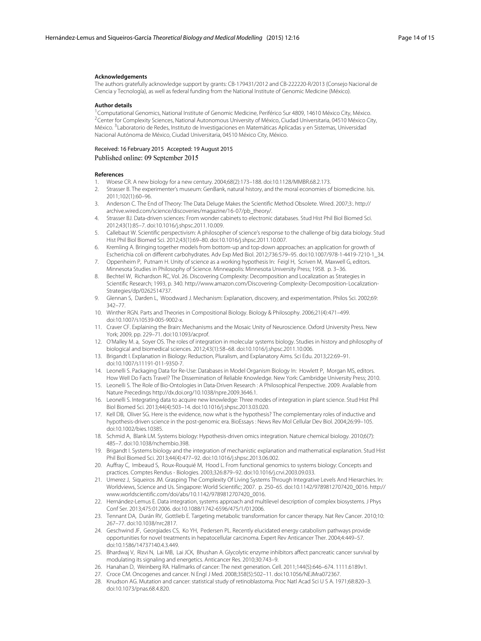#### **Acknowledgements**

The authors gratefully acknowledge support by grants: CB-179431/2012 and CB-222220-R/2013 (Consejo Nacional de Ciencia y Tecnología), as well as federal funding from the National Institute of Genomic Medicine (México).

#### **Author details**

1Computational Genomics, National Institute of Genomic Medicine, Periférico Sur 4809, 14610 México City, México. <sup>2</sup>Center for Complexity Sciences, National Autonomous University of México, Ciudad Universitaria, 04510 México City, México. 3Laboratorio de Redes, Instituto de Investigaciones en Matemáticas Aplicadas y en Sistemas, Universidad Nacional Autónoma de México, Ciudad Universitaria, 04510 México City, México.

## Received: 16 February 2015 Accepted: 19 August 2015 Published online: 09 September 2015

#### **References**

- <span id="page-13-0"></span>1. Woese CR. A new biology for a new century. 2004;68(2):173–188. doi[:10.1128/MMBR.68.2.173.](http://dx.doi.org/10.1128/MMBR.68.2.173)
- <span id="page-13-1"></span>2. Strasser B. The experimenter's museum: GenBank, natural history, and the moral economies of biomedicine. Isis. 2011;102(1):60–96.
- <span id="page-13-2"></span>3. Anderson C. The End of Theory: The Data Deluge Makes the Scientific Method Obsolete. Wired. 2007;3:. [http://](http://archive.wired.com/science/discoveries/magazine/16-07/pb_theory/) [archive.wired.com/science/discoveries/magazine/16-07/pb\\_theory/.](http://archive.wired.com/science/discoveries/magazine/16-07/pb_theory/)
- <span id="page-13-3"></span>4. Strasser BJ. Data-driven sciences: From wonder cabinets to electronic databases. Stud Hist Phil Biol Biomed Sci. 2012;43(1):85–7. doi[:10.1016/j.shpsc.2011.10.009.](http://dx.doi.org/10.1016/j.shpsc.2011.10.009)
- <span id="page-13-4"></span>5. Callebaut W. Scientific perspectivism: A philosopher of science's response to the challenge of big data biology. Stud Hist Phil Biol Biomed Sci. 2012;43(1):69–80. doi[:10.1016/j.shpsc.2011.10.007.](http://dx.doi.org/10.1016/j.shpsc.2011.10.007)
- <span id="page-13-5"></span>6. Kremling A. Bringing together models from bottom-up and top-down approaches: an application for growth of Escherichia coli on different carbohydrates. Adv Exp Med Biol. 2012;736:579–95. doi[:10.1007/978-1-4419-7210-1\\_34.](http://dx.doi.org/10.1007/978-1-4419-7210-1_34)
- <span id="page-13-6"></span>7. Oppenheim P, Putnam H. Unity of science as a working hypothesis In: Feigl H, Scriven M, Maxwell G, editors. Minnesota Studies in Philosophy of Science. Minneapolis: Minnesota University Press; 1958. p. 3–36.
- <span id="page-13-7"></span>8. Bechtel W, Richardson RC, Vol. 26. Discovering Complexity: Decomposition and Localization as Strategies in Scientific Research; 1993, p. 340. [http://www.amazon.com/Discovering-Complexity-Decomposition-Localization-](http://www.amazon.com/Discovering-Complexity-Decomposition-Localization-Strategies/dp/0262514737)[Strategies/dp/0262514737.](http://www.amazon.com/Discovering-Complexity-Decomposition-Localization-Strategies/dp/0262514737)
- 9. Glennan S, Darden L, Woodward J. Mechanism: Explanation, discovery, and experimentation. Philos Sci. 2002;69: 342–77.
- 10. Winther RGN. Parts and Theories in Compositional Biology. Biology & Philosophy. 2006;21(4):471–499. doi[:10.1007/s10539-005-9002-x.](http://dx.doi.org/10.1007/s10539-005-9002-x)
- <span id="page-13-8"></span>11. Craver CF. Explaining the Brain: Mechanisms and the Mosaic Unity of Neuroscience. Oxford University Press. New York; 2009, pp. 229–71. doi[:10.1093/acprof.](http://dx.doi.org/10.1093/acprof)
- <span id="page-13-9"></span>12. O'Malley M. a, Soyer OS. The roles of integration in molecular systems biology. Studies in history and philosophy of biological and biomedical sciences. 2012;43(1):58–68. doi[:10.1016/j.shpsc.2011.10.006.](http://dx.doi.org/10.1016/j.shpsc.2011.10.006)
- <span id="page-13-10"></span>13. Brigandt I. Explanation in Biology: Reduction, Pluralism, and Explanatory Aims. Sci Edu. 2013;22:69–91. doi[:10.1007/s11191-011-9350-7.](http://dx.doi.org/10.1007/s11191-011-9350-7)
- <span id="page-13-11"></span>14. Leonelli S. Packaging Data for Re-Use: Databases in Model Organism Biology In: Howlett P, Morgan MS, editors. How Well Do Facts Travel? The Dissemination of Reliable Knowledge. New York: Cambridge University Press; 2010.
- 15. Leonelli S. The Role of Bio-Ontologies in Data-Driven Research : A Philosophical Perspective. 2009. Available from Nature Precedings [http://dx.doi.org/10.1038/npre.2009.3646.1.](http://dx.doi.org/10.1038/npre.2009.3646.1)
- <span id="page-13-12"></span>16. Leonelli S. Integrating data to acquire new knowledge: Three modes of integration in plant science. Stud Hist Phil Biol Biomed Sci. 2013;44(4):503–14. doi[:10.1016/j.shpsc.2013.03.020.](http://dx.doi.org/10.1016/j.shpsc.2013.03.020)
- <span id="page-13-13"></span>17. Kell DB, Oliver SG. Here is the evidence, now what is the hypothesis? The complementary roles of inductive and hypothesis-driven science in the post-genomic era. BioEssays : News Rev Mol Cellular Dev Biol. 2004;26:99–105. doi[:10.1002/bies.10385.](http://dx.doi.org/10.1002/bies.10385)
- <span id="page-13-14"></span>18. Schmid A, Blank LM. Systems biology: Hypothesis-driven omics integration. Nature chemical biology. 2010;6(7): 485–7. doi[:10.1038/nchembio.398.](http://dx.doi.org/10.1038/nchembio.398)
- <span id="page-13-15"></span>19. Brigandt I. Systems biology and the integration of mechanistic explanation and mathematical explanation. Stud Hist Phil Biol Biomed Sci. 2013;44(4):477–92. doi[:10.1016/j.shpsc.2013.06.002.](http://dx.doi.org/10.1016/j.shpsc.2013.06.002)
- 20. Auffray C, Imbeaud S, Roux-Rouquié M, Hood L. From functional genomics to systems biology: Concepts and practices. Comptes Rendus - Biologies. 2003;326:879–92. doi[:10.1016/j.crvi.2003.09.033.](http://dx.doi.org/10.1016/j.crvi.2003.09.033)
- <span id="page-13-23"></span>21. Umerez J, Siqueiros JM. Grasping The Complexity Of Living Systems Through Integrative Levels And Hierarchies. In: Worldviews, Science and Us. Singapore: World Scientific; 2007. p. 250–65. doi[:10.1142/9789812707420\\_0016.](http://dx.doi.org/10.1142/9789812707420_0016) [http://](http://www.worldscientific.com/doi/abs/10.1142/9789812707420_0016) [www.worldscientific.com/doi/abs/10.1142/9789812707420\\_0016.](http://www.worldscientific.com/doi/abs/10.1142/9789812707420_0016)
- <span id="page-13-16"></span>22. Hernández-Lemus E. Data integration, systems approach and multilevel description of complex biosystems. J Phys Conf Ser. 2013;475:012006. do[i:10.1088/1742-6596/475/1/012006.](http://dx.doi.org/10.1088/1742-6596/475/1/012006)
- <span id="page-13-17"></span>23. Tennant DA, Durán RV, Gottlieb E. Targeting metabolic transformation for cancer therapy. Nat Rev Cancer. 2010;10: 267–77. doi[:10.1038/nrc2817.](http://dx.doi.org/10.1038/nrc2817)
- <span id="page-13-18"></span>24. Geschwind JF, Georgiades CS, Ko YH, Pedersen PL. Recently elucidated energy catabolism pathways provide opportunities for novel treatments in hepatocellular carcinoma. Expert Rev Anticancer Ther. 2004;4:449–57. doi[:10.1586/14737140.4.3.449.](http://dx.doi.org/10.1586/14737140.4.3.449)
- <span id="page-13-19"></span>25. Bhardwaj V, Rizvi N, Lai MB, Lai JCK, Bhushan A. Glycolytic enzyme inhibitors affect pancreatic cancer survival by modulating its signaling and energetics. Anticancer Res. 2010;30:743–9.
- <span id="page-13-20"></span>26. Hanahan D, Weinberg RA. Hallmarks of cancer: The next generation. Cell. 2011;144(5):646–674. 1111.6189v1.
- <span id="page-13-21"></span>27. Croce CM. Oncogenes and cancer. N Engl J Med. 2008;358(5):502–11. do[i:10.1056/NEJMra072367.](http://dx.doi.org/10.1056/NEJMra072367)
- <span id="page-13-22"></span>28. Knudson AG. Mutation and cancer: statistical study of retinoblastoma. Proc Natl Acad Sci U S A. 1971;68:820–3. doi[:10.1073/pnas.68.4.820.](http://dx.doi.org/10.1073/pnas.68.4.820)